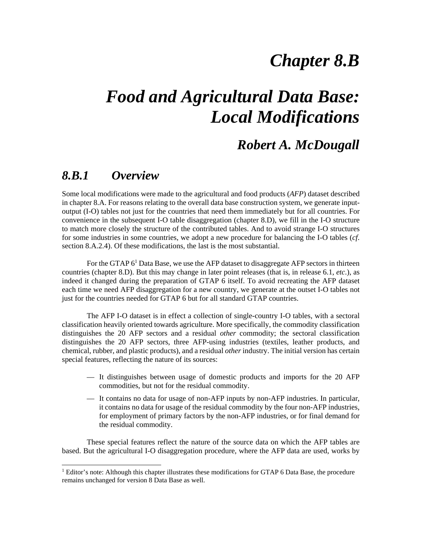## *Chapter 8.B*

# *Food and Agricultural Data Base: Local Modifications*

### *Robert A. McDougall*

#### *8.B.1 Overview*

 $\overline{a}$ 

Some local modifications were made to the agricultural and food products (*AFP*) dataset described in chapter 8.A. For reasons relating to the overall data base construction system, we generate inputoutput (I-O) tables not just for the countries that need them immediately but for all countries. For convenience in the subsequent I-O table disaggregation (chapter 8.D), we fill in the I-O structure to match more closely the structure of the contributed tables. And to avoid strange I-O structures for some industries in some countries, we adopt a new procedure for balancing the I-O tables (*cf*. section 8.A.2.4). Of these modifications, the last is the most substantial.

For the GTAP  $6<sup>1</sup>$  Data Base, we use the AFP dataset to disaggregate AFP sectors in thirteen countries (chapter 8.D). But this may change in later point releases (that is, in release 6.1, *etc*.), as indeed it changed during the preparation of GTAP 6 itself. To avoid recreating the AFP dataset each time we need AFP disaggregation for a new country, we generate at the outset I-O tables not just for the countries needed for GTAP 6 but for all standard GTAP countries.

The AFP I-O dataset is in effect a collection of single-country I-O tables, with a sectoral classification heavily oriented towards agriculture. More specifically, the commodity classification distinguishes the 20 AFP sectors and a residual *other* commodity; the sectoral classification distinguishes the 20 AFP sectors, three AFP-using industries (textiles, leather products, and chemical, rubber, and plastic products), and a residual *other* industry. The initial version has certain special features, reflecting the nature of its sources:

- It distinguishes between usage of domestic products and imports for the 20 AFP commodities, but not for the residual commodity.
- It contains no data for usage of non-AFP inputs by non-AFP industries. In particular, it contains no data for usage of the residual commodity by the four non-AFP industries, for employment of primary factors by the non-AFP industries, or for final demand for the residual commodity.

These special features reflect the nature of the source data on which the AFP tables are based. But the agricultural I-O disaggregation procedure, where the AFP data are used, works by

<sup>&</sup>lt;sup>1</sup> Editor's note: Although this chapter illustrates these modifications for GTAP 6 Data Base, the procedure remains unchanged for version 8 Data Base as well.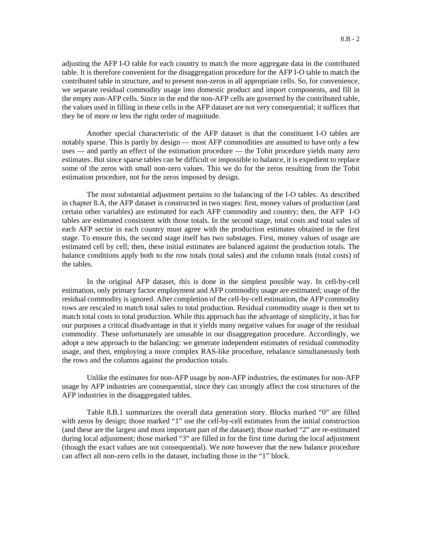adjusting the AFP I-O table for each country to match the more aggregate data in the contributed table. It is therefore convenient for the disaggregation procedure for the AFP I-O table to match the contributed table in structure, and to present non-zeros in all appropriate cells. So, for convenience, we separate residual commodity usage into domestic product and import components, and fill in the empty non-AFP cells. Since in the end the non-AFP cells are governed by the contributed table, the values used in filling in these cells in the AFP dataset are not very consequential; it suffices that they be of more or less the right order of magnitude.

Another special characteristic of the AFP dataset is that the constituent I-O tables are notably sparse. This is partly by design — most AFP commodities are assumed to have only a few uses — and partly an effect of the estimation procedure — the Tobit procedure yields many zero estimates. But since sparse tables can be difficult or impossible to balance, it is expedient to replace some of the zeros with small non-zero values. This we do for the zeros resulting from the Tobit estimation procedure, not for the zeros imposed by design.

The most substantial adjustment pertains to the balancing of the I-O tables. As described in chapter 8.A, the AFP dataset is constructed in two stages: first, money values of production (and certain other variables) are estimated for each AFP commodity and country; then, the AFP I-O tables are estimated consistent with those totals. In the second stage, total costs and total sales of each AFP sector in each country must agree with the production estimates obtained in the first stage. To ensure this, the second stage itself has two substages. First, money values of usage are estimated cell by cell; then, these initial estimates are balanced against the production totals. The balance conditions apply both to the row totals (total sales) and the column totals (total costs) of the tables.

In the original AFP dataset, this is done in the simplest possible way. In cell-by-cell estimation, only primary factor employment and AFP commodity usage are estimated; usage of the residual commodity is ignored. After completion of the cell-by-cell estimation, the AFP commodity rows are rescaled to match total sales to total production. Residual commodity usage is then set to match total costs to total production. While this approach has the advantage of simplicity, it has for our purposes a critical disadvantage in that it yields many negative values for usage of the residual commodity. These unfortunately are unusable in our disaggregation procedure. Accordingly, we adopt a new approach to the balancing: we generate independent estimates of residual commodity usage, and then, employing a more complex RAS-like procedure, rebalance simultaneously both the rows and the columns against the production totals.

Unlike the estimates for non-AFP usage by non-AFP industries, the estimates for non-AFP usage by AFP industries are consequential, since they can strongly affect the cost structures of the AFP industries in the disaggregated tables.

Table 8.B.1 summarizes the overall data generation story. Blocks marked "0" are filled with zeros by design; those marked "1" use the cell-by-cell estimates from the initial construction (and these are the largest and most important part of the dataset); those marked "2" are re-estimated during local adjustment; those marked "3" are filled in for the first time during the local adjustment (though the exact values are not consequential). We note however that the new balance procedure can affect all non-zero cells in the dataset, including those in the "1" block.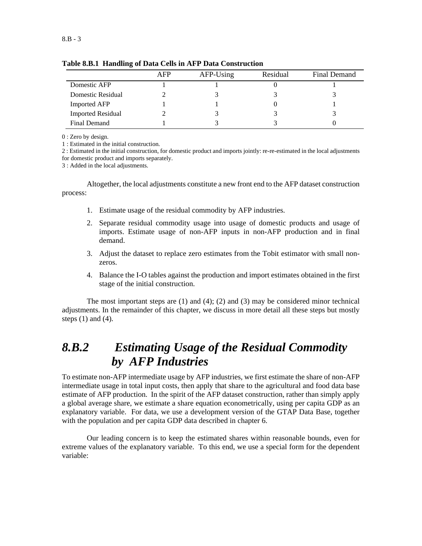|                          | AFP | AFP-Using | Residual | Final Demand |
|--------------------------|-----|-----------|----------|--------------|
| Domestic AFP             |     |           |          |              |
| Domestic Residual        |     |           |          |              |
| <b>Imported AFP</b>      |     |           |          |              |
| <b>Imported Residual</b> |     |           |          |              |
| Final Demand             |     |           |          |              |

**Table 8.B.1 Handling of Data Cells in AFP Data Construction** 

0 : Zero by design.

1 : Estimated in the initial construction.

2 : Estimated in the initial construction, for domestic product and imports jointly: re-re-estimated in the local adjustments for domestic product and imports separately.

3 : Added in the local adjustments.

Altogether, the local adjustments constitute a new front end to the AFP dataset construction process:

- 1. Estimate usage of the residual commodity by AFP industries.
- 2. Separate residual commodity usage into usage of domestic products and usage of imports. Estimate usage of non-AFP inputs in non-AFP production and in final demand.
- 3. Adjust the dataset to replace zero estimates from the Tobit estimator with small nonzeros.
- 4. Balance the I-O tables against the production and import estimates obtained in the first stage of the initial construction.

The most important steps are  $(1)$  and  $(4)$ ;  $(2)$  and  $(3)$  may be considered minor technical adjustments. In the remainder of this chapter, we discuss in more detail all these steps but mostly steps  $(1)$  and  $(4)$ .

## *8.B.2 Estimating Usage of the Residual Commodity by AFP Industries*

To estimate non-AFP intermediate usage by AFP industries, we first estimate the share of non-AFP intermediate usage in total input costs, then apply that share to the agricultural and food data base estimate of AFP production. In the spirit of the AFP dataset construction, rather than simply apply a global average share, we estimate a share equation econometrically, using per capita GDP as an explanatory variable. For data, we use a development version of the GTAP Data Base, together with the population and per capita GDP data described in chapter 6.

Our leading concern is to keep the estimated shares within reasonable bounds, even for extreme values of the explanatory variable. To this end, we use a special form for the dependent variable: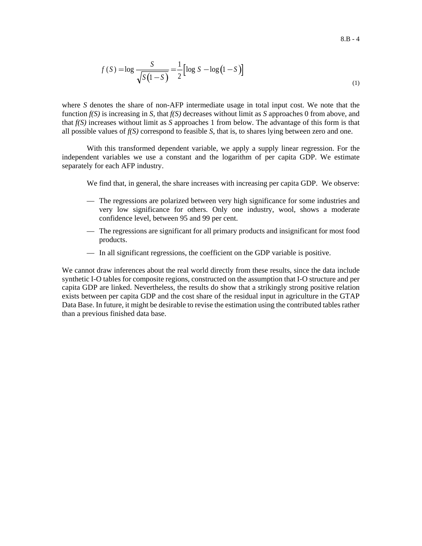$$
f(S) = \log \frac{S}{\sqrt{S(1-S)}} = \frac{1}{2} [\log S - \log(1-S)]
$$
\n(1)

where *S* denotes the share of non-AFP intermediate usage in total input cost. We note that the function *f(S)* is increasing in *S*, that *f(S)* decreases without limit as *S* approaches 0 from above, and that *f(S)* increases without limit as *S* approaches 1 from below. The advantage of this form is that all possible values of  $f(S)$  correspond to feasible  $S$ , that is, to shares lying between zero and one.

With this transformed dependent variable, we apply a supply linear regression. For the independent variables we use a constant and the logarithm of per capita GDP. We estimate separately for each AFP industry.

We find that, in general, the share increases with increasing per capita GDP. We observe:

- The regressions are polarized between very high significance for some industries and very low significance for others. Only one industry, wool, shows a moderate confidence level, between 95 and 99 per cent.
- The regressions are significant for all primary products and insignificant for most food products.
- In all significant regressions, the coefficient on the GDP variable is positive.

We cannot draw inferences about the real world directly from these results, since the data include synthetic I-O tables for composite regions, constructed on the assumption that I-O structure and per capita GDP are linked. Nevertheless, the results do show that a strikingly strong positive relation exists between per capita GDP and the cost share of the residual input in agriculture in the GTAP Data Base. In future, it might be desirable to revise the estimation using the contributed tables rather than a previous finished data base.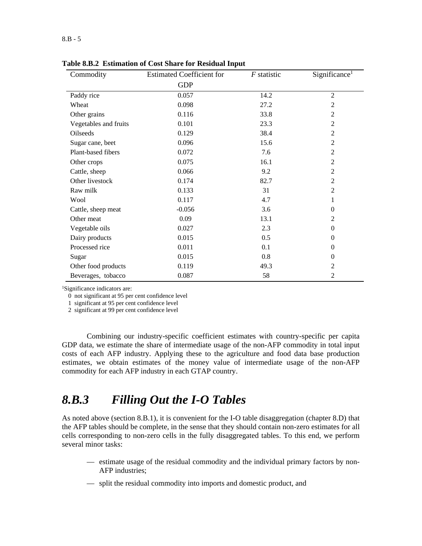| Commodity             | <b>Estimated Coefficient for</b> | $F$ statistic | Significance <sup>1</sup> |
|-----------------------|----------------------------------|---------------|---------------------------|
|                       | <b>GDP</b>                       |               |                           |
| Paddy rice            | 0.057                            | 14.2          | $\overline{2}$            |
| Wheat                 | 0.098                            | 27.2          | $\overline{c}$            |
| Other grains          | 0.116                            | 33.8          | $\overline{2}$            |
| Vegetables and fruits | 0.101                            | 23.3          | $\overline{2}$            |
| Oilseeds              | 0.129                            | 38.4          | $\overline{c}$            |
| Sugar cane, beet      | 0.096                            | 15.6          | $\mathbf{2}$              |
| Plant-based fibers    | 0.072                            | 7.6           | $\overline{2}$            |
| Other crops           | 0.075                            | 16.1          | $\overline{c}$            |
| Cattle, sheep         | 0.066                            | 9.2           | $\overline{2}$            |
| Other livestock       | 0.174                            | 82.7          | $\overline{2}$            |
| Raw milk              | 0.133                            | 31            | $\mathfrak{2}$            |
| Wool                  | 0.117                            | 4.7           | 1                         |
| Cattle, sheep meat    | $-0.056$                         | 3.6           | $\theta$                  |
| Other meat            | 0.09                             | 13.1          | $\overline{c}$            |
| Vegetable oils        | 0.027                            | 2.3           | $\mathbf{0}$              |
| Dairy products        | 0.015                            | 0.5           | $\theta$                  |
| Processed rice        | 0.011                            | 0.1           | $\Omega$                  |
| Sugar                 | 0.015                            | 0.8           | $\theta$                  |
| Other food products   | 0.119                            | 49.3          | $\overline{2}$            |
| Beverages, tobacco    | 0.087                            | 58            | $\overline{c}$            |

**Table 8.B.2 Estimation of Cost Share for Residual Input** 

1Significance indicators are:

0 not significant at 95 per cent confidence level

1 significant at 95 per cent confidence level

2 significant at 99 per cent confidence level

Combining our industry-specific coefficient estimates with country-specific per capita GDP data, we estimate the share of intermediate usage of the non-AFP commodity in total input costs of each AFP industry. Applying these to the agriculture and food data base production estimates, we obtain estimates of the money value of intermediate usage of the non-AFP commodity for each AFP industry in each GTAP country.

## *8.B.3 Filling Out the I-O Tables*

As noted above (section 8.B.1), it is convenient for the I-O table disaggregation (chapter 8.D) that the AFP tables should be complete, in the sense that they should contain non-zero estimates for all cells corresponding to non-zero cells in the fully disaggregated tables. To this end, we perform several minor tasks:

- estimate usage of the residual commodity and the individual primary factors by non-AFP industries;
- split the residual commodity into imports and domestic product, and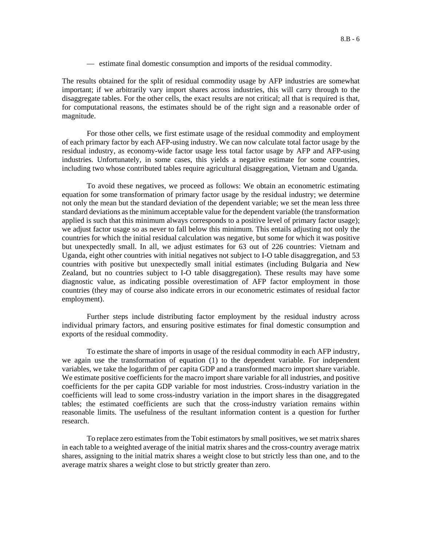— estimate final domestic consumption and imports of the residual commodity.

The results obtained for the split of residual commodity usage by AFP industries are somewhat important; if we arbitrarily vary import shares across industries, this will carry through to the disaggregate tables. For the other cells, the exact results are not critical; all that is required is that, for computational reasons, the estimates should be of the right sign and a reasonable order of magnitude.

For those other cells, we first estimate usage of the residual commodity and employment of each primary factor by each AFP-using industry. We can now calculate total factor usage by the residual industry, as economy-wide factor usage less total factor usage by AFP and AFP-using industries. Unfortunately, in some cases, this yields a negative estimate for some countries, including two whose contributed tables require agricultural disaggregation, Vietnam and Uganda.

To avoid these negatives, we proceed as follows: We obtain an econometric estimating equation for some transformation of primary factor usage by the residual industry; we determine not only the mean but the standard deviation of the dependent variable; we set the mean less three standard deviations as the minimum acceptable value for the dependent variable (the transformation applied is such that this minimum always corresponds to a positive level of primary factor usage); we adjust factor usage so as never to fall below this minimum. This entails adjusting not only the countries for which the initial residual calculation was negative, but some for which it was positive but unexpectedly small. In all, we adjust estimates for 63 out of 226 countries: Vietnam and Uganda, eight other countries with initial negatives not subject to I-O table disaggregation, and 53 countries with positive but unexpectedly small initial estimates (including Bulgaria and New Zealand, but no countries subject to I-O table disaggregation). These results may have some diagnostic value, as indicating possible overestimation of AFP factor employment in those countries (they may of course also indicate errors in our econometric estimates of residual factor employment).

Further steps include distributing factor employment by the residual industry across individual primary factors, and ensuring positive estimates for final domestic consumption and exports of the residual commodity.

To estimate the share of imports in usage of the residual commodity in each AFP industry, we again use the transformation of equation (1) to the dependent variable. For independent variables, we take the logarithm of per capita GDP and a transformed macro import share variable. We estimate positive coefficients for the macro import share variable for all industries, and positive coefficients for the per capita GDP variable for most industries. Cross-industry variation in the coefficients will lead to some cross-industry variation in the import shares in the disaggregated tables; the estimated coefficients are such that the cross-industry variation remains within reasonable limits. The usefulness of the resultant information content is a question for further research.

To replace zero estimates from the Tobit estimators by small positives, we set matrix shares in each table to a weighted average of the initial matrix shares and the cross-country average matrix shares, assigning to the initial matrix shares a weight close to but strictly less than one, and to the average matrix shares a weight close to but strictly greater than zero.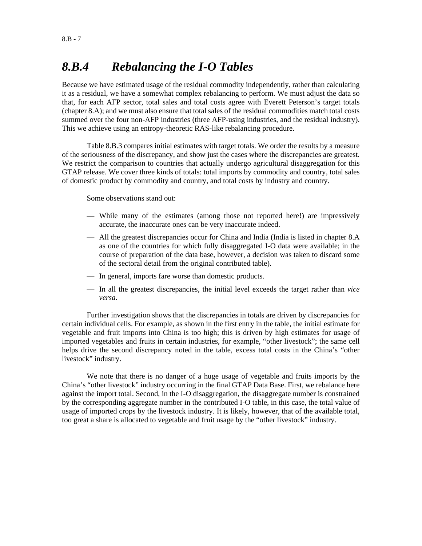## *8.B.4 Rebalancing the I-O Tables*

Because we have estimated usage of the residual commodity independently, rather than calculating it as a residual, we have a somewhat complex rebalancing to perform. We must adjust the data so that, for each AFP sector, total sales and total costs agree with Everett Peterson's target totals (chapter 8.A); and we must also ensure that total sales of the residual commodities match total costs summed over the four non-AFP industries (three AFP-using industries, and the residual industry). This we achieve using an entropy-theoretic RAS-like rebalancing procedure.

Table 8.B.3 compares initial estimates with target totals. We order the results by a measure of the seriousness of the discrepancy, and show just the cases where the discrepancies are greatest. We restrict the comparison to countries that actually undergo agricultural disaggregation for this GTAP release. We cover three kinds of totals: total imports by commodity and country, total sales of domestic product by commodity and country, and total costs by industry and country.

Some observations stand out:

- While many of the estimates (among those not reported here!) are impressively accurate, the inaccurate ones can be very inaccurate indeed.
- All the greatest discrepancies occur for China and India (India is listed in chapter 8.A as one of the countries for which fully disaggregated I-O data were available; in the course of preparation of the data base, however, a decision was taken to discard some of the sectoral detail from the original contributed table).
- In general, imports fare worse than domestic products.
- In all the greatest discrepancies, the initial level exceeds the target rather than *vice versa*.

Further investigation shows that the discrepancies in totals are driven by discrepancies for certain individual cells. For example, as shown in the first entry in the table, the initial estimate for vegetable and fruit imports into China is too high; this is driven by high estimates for usage of imported vegetables and fruits in certain industries, for example, "other livestock"; the same cell helps drive the second discrepancy noted in the table, excess total costs in the China's "other livestock" industry.

We note that there is no danger of a huge usage of vegetable and fruits imports by the China's "other livestock" industry occurring in the final GTAP Data Base. First, we rebalance here against the import total. Second, in the I-O disaggregation, the disaggregate number is constrained by the corresponding aggregate number in the contributed I-O table, in this case, the total value of usage of imported crops by the livestock industry. It is likely, however, that of the available total, too great a share is allocated to vegetable and fruit usage by the "other livestock" industry.